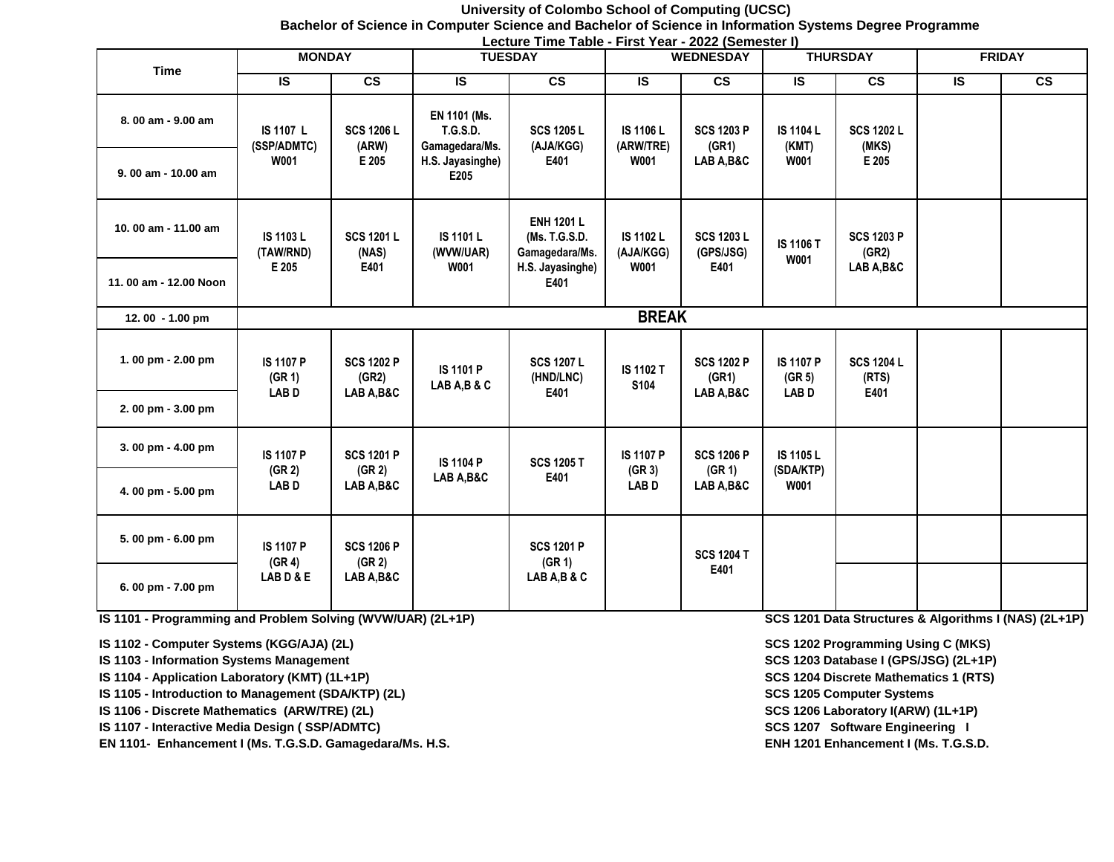#### **University of Colombo School of Computing (UCSC) Bachelor of Science in Computer Science and Bachelor of Science in Information Systems Degree Programme Lecture Time Table - First Year - 2022 (Semester I)**

| <b>Time</b>           | <b>MONDAY</b>                     |                            |                                                   | LUBULU TIING TUDIG TIIBU TUUT LULL (OUNIGOIGI I)<br><b>TUESDAY</b> |                                              | <b>WEDNESDAY</b>                         | <b>THURSDAY</b>                   |                                          | <b>FRIDAY</b>    |               |  |  |
|-----------------------|-----------------------------------|----------------------------|---------------------------------------------------|--------------------------------------------------------------------|----------------------------------------------|------------------------------------------|-----------------------------------|------------------------------------------|------------------|---------------|--|--|
|                       | <b>IS</b>                         | $\overline{\text{cs}}$     | <b>IS</b>                                         | $\overline{\text{cs}}$                                             | IS.                                          | $\mathsf{cs}$                            | <b>IS</b>                         | $\overline{\text{cs}}$                   | <b>IS</b>        | $\mathsf{cs}$ |  |  |
| 8.00 am - 9.00 am     | <b>IS 1107 L</b><br>(SSP/ADMTC)   | <b>SCS 1206 L</b><br>(ARW) | EN 1101 (Ms.<br><b>T.G.S.D.</b><br>Gamagedara/Ms. | <b>SCS 1205 L</b><br>(AJA/KGG)<br>E401                             | <b>IS 1106 L</b><br>(ARW/TRE)<br><b>W001</b> | <b>SCS 1203 P</b><br>(GR1)<br>LAB A, B&C | <b>IS 1104 L</b><br>(KMT)<br>W001 | <b>SCS 1202 L</b><br>(MKS)<br>E 205      |                  |               |  |  |
| 9.00 am - 10.00 am    | W001                              | E 205                      | H.S. Jayasinghe)<br>E205                          |                                                                    |                                              |                                          |                                   |                                          |                  |               |  |  |
| 10.00 am - 11.00 am   | <b>IS 1103 L</b><br>(TAW/RND)     | <b>SCS 1201 L</b><br>(NAS) | <b>IS 1101 L</b><br>(WVW/UAR)                     | <b>ENH 1201 L</b><br>(Ms. T.G.S.D.<br>Gamagedara/Ms.               | <b>IS 1102 L</b><br>(AJA/KGG)<br>W001        | <b>SCS 1203 L</b><br>(GPS/JSG)<br>E401   | <b>IS 1106 T</b><br><b>W001</b>   | <b>SCS 1203 P</b><br>(GR2)<br>LAB A, B&C |                  |               |  |  |
| 11.00 am - 12.00 Noon | E 205                             | E401                       | W001                                              | H.S. Jayasinghe)<br>E401                                           |                                              |                                          |                                   |                                          |                  |               |  |  |
| 12.00 - 1.00 pm       |                                   |                            |                                                   |                                                                    | <b>BREAK</b>                                 |                                          |                                   |                                          |                  |               |  |  |
| 1.00 pm - 2.00 pm     | <b>IS 1107 P</b><br>(GR 1)        | <b>SCS 1202 P</b><br>(GR2) | <b>IS 1101 P</b><br>LAB A,B & C                   | <b>SCS 1207 L</b><br>(HND/LNC)                                     | <b>IS 1102 T</b><br>S104                     | <b>SCS 1202 P</b><br>(GR1)               | <b>IS 1107 P</b><br>(GR 5)        | <b>SCS 1204 L</b><br>(RTS)               |                  |               |  |  |
| 2.00 pm - 3.00 pm     | <b>LABD</b>                       | LAB A, B&C                 |                                                   | E401                                                               |                                              | LAB A, B&C                               | <b>LABD</b>                       | E401                                     |                  |               |  |  |
| 3.00 pm - 4.00 pm     | <b>IS 1107 P</b>                  |                            |                                                   | <b>SCS 1201 P</b>                                                  | <b>IS 1104 P</b>                             | <b>SCS 1205 T</b>                        | <b>IS 1107 P</b>                  | <b>SCS 1206 P</b>                        | <b>IS 1105 L</b> |               |  |  |
| 4.00 pm - 5.00 pm     | (GR <sub>2</sub> )<br><b>LABD</b> | (GR 2)<br>LAB A, B&C       | LAB A, B&C                                        | E401                                                               | (GR 3)<br><b>LABD</b>                        | (GR 1)<br>LAB A, B&C                     | (SDA/KTP)<br>W001                 |                                          |                  |               |  |  |
| 5.00 pm - 6.00 pm     | <b>IS 1107 P</b><br>(GR 4)        | <b>SCS 1206 P</b>          |                                                   | <b>SCS 1201 P</b>                                                  |                                              | <b>SCS 1204 T</b>                        |                                   |                                          |                  |               |  |  |
| 6.00 pm - 7.00 pm     | LABD&E                            | (GR 2)<br>LAB A, B&C       |                                                   | (GR 1)<br>LAB A,B & C                                              |                                              | E401                                     |                                   |                                          |                  |               |  |  |

**IS 1101 - Programming and Problem Solving (WVW/UAR) (2L+1P) SCS 1201 Data Structures & Algorithms I (NAS) (2L+1P)**

**IS 1102 - Computer Systems (KGG/AJA) (2L) SCS 1202 Programming Using C (MKS)** 

**IS 1103 - Information Systems Management SCS 1203 Database I (GPS/JSG) (2L+1P)**

- **IS 1104 Application Laboratory (KMT) (1L+1P) SCS 1204 Discrete Mathematics 1 (RTS)**
- **IS 1105 Introduction to Management (SDA/KTP) (2L) SCS 1205 Computer Systems SCS 1205 Computer Systems**
- **IS 1106 Discrete Mathematics (ARW/TRE) (2L) SCS 1206 Laboratory I(ARW) (1L+1P)**
- **IS 1107 Interactive Media Design ( SSP/ADMTC)** SCS 1207 Software Engineering I **SCS** 1207 Software Engineering I

EN 1101- Enhancement I (Ms. T.G.S.D. Gamagedara/Ms. H.S. **ENH 1201 ENH 1201 Enhancement I (Ms. T.G.S.D.**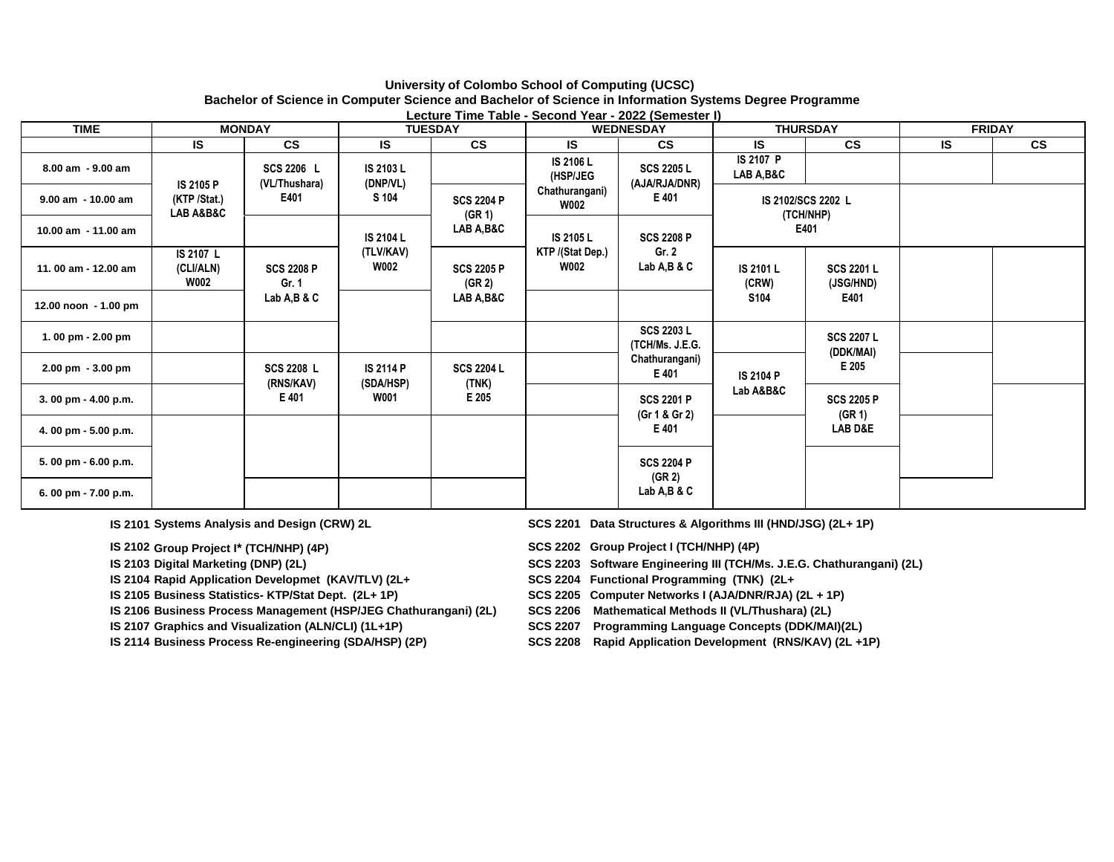# **University of Colombo School of Computing (UCSC) Bachelor of Science in Computer Science and Bachelor of Science in Information Systems Degree Programme**

| Lecture Time Table - Second Year - 2022 (Semester I) |                                       |                                                       |                               |                                     |                               |                                                                                                       |                                                                           |                                 |                    |                                |  |  |
|------------------------------------------------------|---------------------------------------|-------------------------------------------------------|-------------------------------|-------------------------------------|-------------------------------|-------------------------------------------------------------------------------------------------------|---------------------------------------------------------------------------|---------------------------------|--------------------|--------------------------------|--|--|
| <b>TIME</b>                                          | <b>MONDAY</b>                         |                                                       | <b>TUESDAY</b>                |                                     | <b>WEDNESDAY</b>              |                                                                                                       | <b>THURSDAY</b>                                                           |                                 | <b>FRIDAY</b>      |                                |  |  |
|                                                      | IS                                    | <b>CS</b>                                             | <b>IS</b>                     | <b>CS</b>                           | IS                            | <b>CS</b>                                                                                             | <b>IS</b>                                                                 | $\mathsf{cs}$                   | <b>IS</b>          | <b>CS</b>                      |  |  |
| 8.00 am - 9.00 am                                    | <b>IS 2105 P</b>                      | SCS 2206 L<br>(VL/Thushara)                           | IS 2103 L<br>(DNP/VL)         |                                     | <b>IS 2106 L</b><br>(HSP/JEG  | <b>SCS 2205 L</b><br>(AJA/RJA/DNR)                                                                    | <b>IS 2107 P</b><br>LAB A, B&C                                            |                                 |                    |                                |  |  |
| $9.00$ am $-10.00$ am                                | (KTP /Stat.)<br>LAB A&B&C             | E401<br><b>SCS 2208 P</b><br>Gr. 1<br>Lab $A,B$ & $C$ | S 104                         | <b>SCS 2204 P</b><br>(GR 1)         | Chathurangani)<br><b>W002</b> | E 401                                                                                                 |                                                                           | IS 2102/SCS 2202 L<br>(TCH/NHP) |                    |                                |  |  |
| 10.00 am - 11.00 am                                  |                                       |                                                       | <b>IS 2104 L</b>              | LAB A,B&C                           | IS 2105 L                     | <b>SCS 2208 P</b>                                                                                     |                                                                           | E401                            |                    |                                |  |  |
| 11.00 am - 12.00 am                                  | IS 2107 L<br>(CLI/ALN)<br><b>W002</b> |                                                       |                               |                                     | (TLV/KAV)<br><b>W002</b>      | <b>SCS 2205 P</b><br>(GR 2)                                                                           | KTP /(Stat Dep.)<br><b>W002</b>                                           | Gr. 2<br>Lab $A, B, \& C$       | IS 2101 L<br>(CRW) | <b>SCS 2201 L</b><br>(JSG/HND) |  |  |
| 12.00 noon - 1.00 pm                                 |                                       |                                                       |                               |                                     | LAB A,B&C                     |                                                                                                       |                                                                           | S <sub>104</sub>                | E401               |                                |  |  |
| 1.00 pm - 2.00 pm                                    |                                       |                                                       |                               |                                     |                               | <b>SCS 2203 L</b><br>(TCH/Ms. J.E.G.                                                                  |                                                                           | <b>SCS 2207 L</b><br>(DDK/MAI)  |                    |                                |  |  |
| 2.00 pm - 3.00 pm                                    |                                       | SCS 2208 L<br>(RNS/KAV)<br>E 401                      | <b>IS 2114 P</b><br>(SDA/HSP) | <b>SCS 2204 L</b><br>(TNK)<br>E 205 |                               | Chathurangani)<br>E 401<br><b>SCS 2201 P</b><br>(Gr 1 & Gr 2)<br>E 401<br><b>SCS 2204 P</b><br>(GR 2) | E 205<br>IS 2104 P<br>Lab A&B&C<br><b>SCS 2205 P</b><br>(GR 1)<br>LAB D&E |                                 |                    |                                |  |  |
| 3.00 pm - 4.00 p.m.                                  |                                       |                                                       | <b>W001</b>                   |                                     |                               |                                                                                                       |                                                                           |                                 |                    |                                |  |  |
| 4.00 pm - 5.00 p.m.                                  |                                       |                                                       |                               |                                     |                               |                                                                                                       |                                                                           |                                 |                    |                                |  |  |
| 5.00 pm - 6.00 p.m.                                  |                                       |                                                       |                               |                                     |                               |                                                                                                       |                                                                           |                                 |                    |                                |  |  |
| 6.00 pm - 7.00 p.m.                                  |                                       |                                                       |                               |                                     |                               | LabA,B&C                                                                                              |                                                                           |                                 |                    |                                |  |  |

**IS 2101 Systems Analysis and Design (CRW) 2L** 

**IS 2102 Group Project I\* (TCH/NHP) (4P)** 

**IS 2103 Digital Marketing (DNP) (2L)** 

**IS 2104 Rapid Application Developmet (KAV/TLV) (2L+** 

**IS 2105 Business Statistics- KTP/Stat Dept. (2L+ 1P)** 

**IS 2106 Business Process Management (HSP/JEG Chathurangani) (2L) SCS 2206 Mathematical Methods II (VL/Thushara) (2L)**

**IS 2107 Graphics and Visualization (ALN/CLI) (1L+1P)** 

**IS 2114 Business Process Re-engineering (SDA/HSP) (2P)** 

SCS 2201 Data Structures & Algorithms III (HND/JSG) (2L+ 1P)

**Group Project I\* (TCH/NHP) (4P) SCS 2202 Group Project I (TCH/NHP) (4P)**

**SCS 2203 Software Engineering III (TCH/Ms. J.E.G. Chathurangani) (2L)** 

**SCS 2204 Functional Programming (TNK) (2L+** 

**BCS 2205 Computer Networks I (AJA/DNR/RJA) (2L + 1P)** 

**SCS 2207 Programming Language Concepts (DDK/MAI)(2L)** 

**BCS 2208 Rapid Application Development (RNS/KAV) (2L +1P)**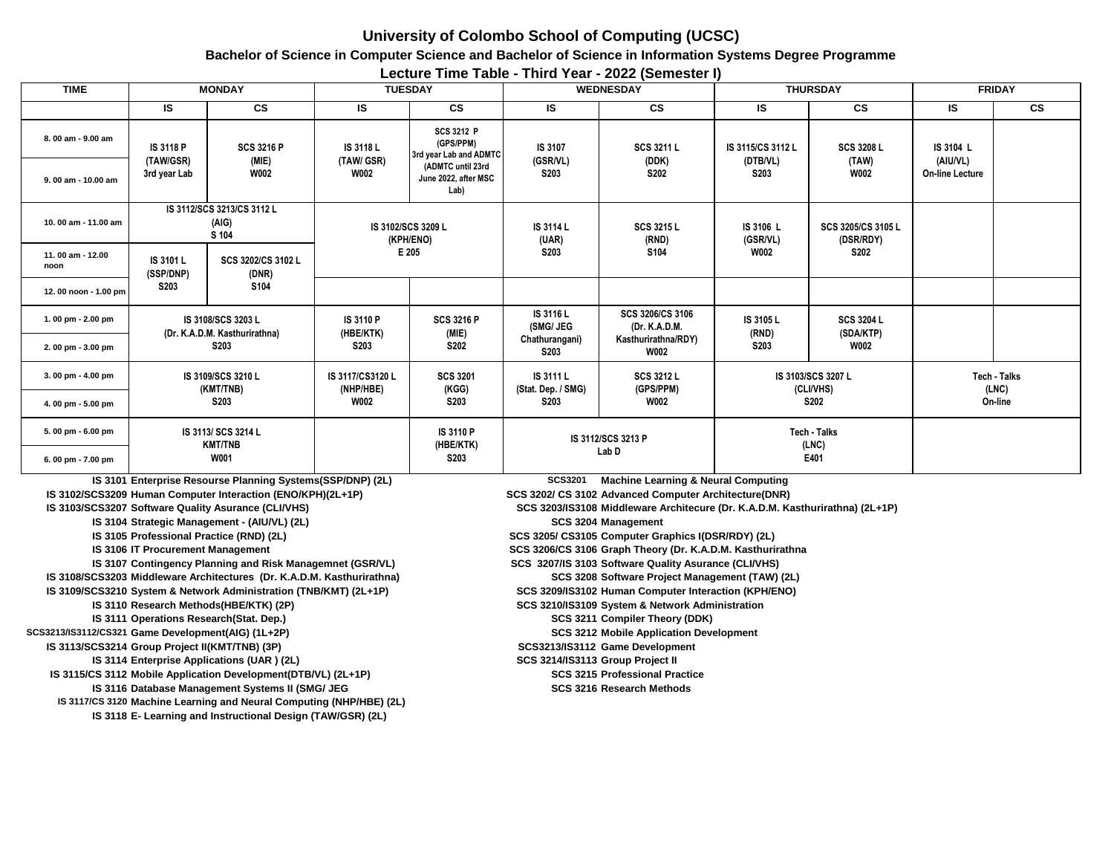## **University of Colombo School of Computing (UCSC)**

**Bachelor of Science in Computer Science and Bachelor of Science in Information Systems Degree Programme**

**Lecture Time Table - Third Year - 2022 (Semester I)**

| <b>TIME</b>                              | <b>MONDAY</b>                                  |                                                                                                                    | <b>TUESDAY</b>                         |                                                                                                               | <b>WEDNESDAY</b>                                                                                                                      |                                                    | <b>THURSDAY</b>                       |                                               | <b>FRIDAY</b>          |                       |  |  |
|------------------------------------------|------------------------------------------------|--------------------------------------------------------------------------------------------------------------------|----------------------------------------|---------------------------------------------------------------------------------------------------------------|---------------------------------------------------------------------------------------------------------------------------------------|----------------------------------------------------|---------------------------------------|-----------------------------------------------|------------------------|-----------------------|--|--|
|                                          | IS                                             | <b>CS</b>                                                                                                          | IS                                     | $\mathsf{cs}$                                                                                                 | <b>IS</b>                                                                                                                             | <b>CS</b>                                          | <b>IS</b>                             | <b>CS</b>                                     | <b>IS</b>              | <b>CS</b>             |  |  |
| 8.00 am - 9.00 am                        | IS 3118 P                                      | <b>SCS 3216 P</b><br>(MIE)<br>(TAW/GSR)<br><b>W002</b>                                                             | IS 3118 L<br>(TAW/ GSR)<br><b>W002</b> | <b>SCS 3212 P</b><br>(GPS/PPM)<br>3rd year Lab and ADMTC<br>(ADMTC until 23rd<br>June 2022, after MSC<br>Lab) | IS 3107<br>(GSR/VL)<br><b>S203</b>                                                                                                    | <b>SCS 3211 L</b><br>(DDK)<br><b>S202</b>          | IS 3115/CS 3112 L<br>(DTB/VL)<br>S203 | <b>SCS 3208 L</b><br>(TAW)<br><b>W002</b>     | IS 3104 L<br>(AIU/VL)  |                       |  |  |
| $9.00$ am - 10.00 am                     | 3rd year Lab                                   |                                                                                                                    |                                        |                                                                                                               |                                                                                                                                       |                                                    |                                       |                                               | <b>On-line Lecture</b> |                       |  |  |
| 10.00 am - 11.00 am                      | IS 3112/SCS 3213/CS 3112 L<br>(AIG)<br>S 104   |                                                                                                                    | IS 3102/SCS 3209 L<br>(KPH/ENO)        |                                                                                                               | IS 3114 L<br>(UAR)                                                                                                                    | SCS 3215 L<br>(RND)                                | IS 3106 L<br>(GSR/VL)                 | SCS 3205/CS 3105 L<br>(DSR/RDY)               |                        |                       |  |  |
| 11.00 am - 12.00<br>noon                 | IS 3101 L<br>(SSP/DNP)                         | SCS 3202/CS 3102 L<br>(DNR)                                                                                        |                                        | E 205                                                                                                         | <b>S203</b>                                                                                                                           | S104                                               | <b>W002</b>                           | <b>S202</b>                                   |                        |                       |  |  |
| 12.00 noon - 1.00 pm                     | <b>S203</b>                                    | S104                                                                                                               |                                        |                                                                                                               |                                                                                                                                       |                                                    |                                       |                                               |                        |                       |  |  |
| 1.00 pm - 2.00 pm                        |                                                | IS 3108/SCS 3203 L<br>(Dr. K.A.D.M. Kasthurirathna)                                                                | IS 3110 P<br>(HBE/KTK)                 | <b>SCS 3216 P</b><br>(MIE)<br><b>S202</b>                                                                     | IS 3116 L<br>(SMG/ JEG                                                                                                                | SCS 3206/CS 3106<br>(Dr. K.A.D.M.                  | IS 3105 L<br>(RND)<br><b>S203</b>     | <b>SCS 3204 L</b><br>(SDA/KTP)<br><b>W002</b> |                        |                       |  |  |
| 2.00 pm - 3.00 pm                        |                                                | <b>S203</b>                                                                                                        | <b>S203</b>                            |                                                                                                               | Chathurangani)<br>S203                                                                                                                | Kasthurirathna/RDY)<br><b>W002</b>                 |                                       |                                               |                        |                       |  |  |
| 3.00 pm - 4.00 pm                        | IS 3109/SCS 3210 L<br>(KMT/TNB)<br><b>S203</b> |                                                                                                                    | IS 3117/CS3120 L<br>(NHP/HBE)          | <b>SCS 3201</b><br>(KGG)                                                                                      | IS 3111 L<br>(Stat. Dep. / SMG)                                                                                                       | SCS 3212 L<br>(GPS/PPM)                            |                                       | IS 3103/SCS 3207 L<br>(CLI/VHS)               |                        | Tech - Talks<br>(LNC) |  |  |
| 4.00 pm - 5.00 pm                        |                                                |                                                                                                                    | <b>W002</b>                            | S203                                                                                                          | <b>S203</b>                                                                                                                           | <b>W002</b>                                        | <b>S202</b>                           |                                               |                        | On-line               |  |  |
| 5.00 pm - 6.00 pm                        | IS 3113/ SCS 3214 L<br><b>KMT/TNB</b>          |                                                                                                                    |                                        |                                                                                                               | IS 3110 P<br>IS 3112/SCS 3213 P<br>(HBE/KTK)                                                                                          |                                                    |                                       | Tech - Talks<br>(LNC)                         |                        |                       |  |  |
| 6.00 pm - 7.00 pm                        |                                                | <b>W001</b>                                                                                                        |                                        | <b>S203</b>                                                                                                   |                                                                                                                                       | Lab <sub>D</sub>                                   | E401                                  |                                               |                        |                       |  |  |
|                                          |                                                | IS 3101 Enterprise Resourse Planning Systems(SSP/DNP) (2L)                                                         |                                        |                                                                                                               | <b>SCS3201</b><br><b>Machine Learning &amp; Neural Computing</b>                                                                      |                                                    |                                       |                                               |                        |                       |  |  |
|                                          |                                                | IS 3102/SCS3209 Human Computer Interaction (ENO/KPH)(2L+1P)<br>IS 3103/SCS3207 Software Quality Asurance (CLI/VHS) |                                        |                                                                                                               | SCS 3202/ CS 3102 Advanced Computer Architecture(DNR)<br>SCS 3203/IS3108 Middleware Architecure (Dr. K.A.D.M. Kasthurirathna) (2L+1P) |                                                    |                                       |                                               |                        |                       |  |  |
|                                          |                                                | IS 3104 Strategic Management - (AIU/VL) (2L)                                                                       |                                        |                                                                                                               | SCS 3204 Management                                                                                                                   |                                                    |                                       |                                               |                        |                       |  |  |
| IS 3105 Professional Practice (RND) (2L) |                                                |                                                                                                                    |                                        |                                                                                                               |                                                                                                                                       | SCS 3205/ CS3105 Computer Graphics I(DSR/RDY) (2L) |                                       |                                               |                        |                       |  |  |

**IS 3106 IT Procurement Management** 

IS 3107 Contingency Planning and Risk Managemnet (GSR/VL) SCS 3207/IS 3103 Software Quality Asurance (CLI/VHS) **IS 3108/SCS3203 Middleware Architectures (Dr. K.A.D.M. Kasthurirathna) IS 3109/SCS3210 System & Network Administration (TNB/KMT) (2L+1P) IS 3110 Research Methods(HBE/KTK) (2P) IS 3111 SCS 3211 Compiler Theory (DDK) Operations Research(Stat. Dep.) SCS3213/IS3112/CS321** Game Development(AIG) (1L+2P) SCS 3212 Mot **3 IS 3113/SCS3214 Game Development Group Project II(KMT/TNB) (3P) SCS3213/IS3112 IS 3114 Enterprise Applications (UAR ) (2L) CS 3214/IS3113** Group Project II **IS 3115/CS 3112 Mobile Application Development(DTB/VL) (2L+1P) Professional Practice and Accord Professional Practice IS 3116 SCS 3216 (RND) (2L) Research Methods Database Management Systems II (SMG/ JEG** 

IS 3117/CS 3120 Machine Learning and Neural Computing (NHP/HBE) (2L) **IS 3118 E- Learning and Instructional Design (TAW/GSR) (2L)**

**ISCS 3206/CS 3106 Graph Theory (Dr. K.A.D.M. Kasthurirathna** 

**SCS 3208 Software Project Management (TAW) (2L)** 

**SCS 3209/IS3102 Human Computer Interaction (KPH/ENO)** 

**SCS 3210/IS3109 System & Network Administration** 

**SCS 3212 Mobile Application Development**